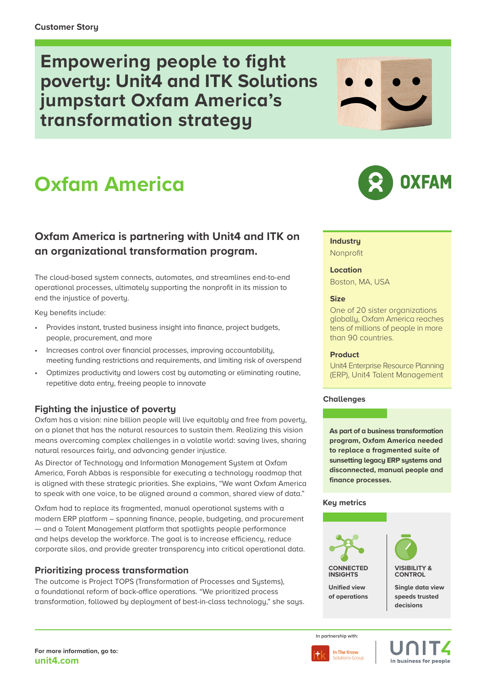**Empowering people to fight poverty: Unit4 and ITK Solutions jumpstart Oxfam America's transformation strategy**

# **Oxfam America**

# **Oxfam America is partnering with Unit4 and ITK on an organizational transformation program.**

The cloud-based system connects, automates, and streamlines end-to-end operational processes, ultimately supporting the nonprofit in its mission to end the injustice of poverty.

Key benefits include:

- Provides instant, trusted business insight into finance, project budgets, people, procurement, and more
- Increases control over financial processes, improving accountability, meeting funding restrictions and requirements, and limiting risk of overspend
- Optimizes productivity and lowers cost by automating or eliminating routine, repetitive data entry, freeing people to innovate

# **Fighting the injustice of poverty**

Oxfam has a vision: nine billion people will live equitably and free from poverty, on a planet that has the natural resources to sustain them. Realizing this vision means overcoming complex challenges in a volatile world: saving lives, sharing natural resources fairly, and advancing gender injustice.

As Director of Technology and Information Management System at Oxfam America, Farah Abbas is responsible for executing a technology roadmap that is aligned with these strategic priorities. She explains, "We want Oxfam America to speak with one voice, to be aligned around a common, shared view of data."

Oxfam had to replace its fraamented, manual operational sustems with a modern ERP platform – spanning finance, people, budgeting, and procurement — and a Talent Management platform that spotlights people performance and helps develop the workforce. The goal is to increase efficiency, reduce corporate silos, and provide greater transparency into critical operational data.

## **Prioritizing process transformation**

The outcome is Project TOPS (Transformation of Processes and Systems), a foundational reform of back-office operations. "We prioritized process transformation, followed by deployment of best-in-class technology," she says.





## **Industry**

Nonprofit

#### **Location**

Boston, MA, USA

#### **Size**

One of 20 sister organizations globally, Oxfam America reaches tens of millions of people in more than 90 countries.

#### **Product**

Unit4 Enterprise Resource Planning (ERP), Unit4 Talent Management

#### **Challenges**

**As part of a business transformation program, Oxfam America needed to replace a fragmented suite of sunsetting legacy ERP systems and disconnected, manual people and finance processes.** 

#### **Key metrics**



**VISIBILITY & CONTROL**

**Single data view speeds trusted decisions**

**In partnership with:**